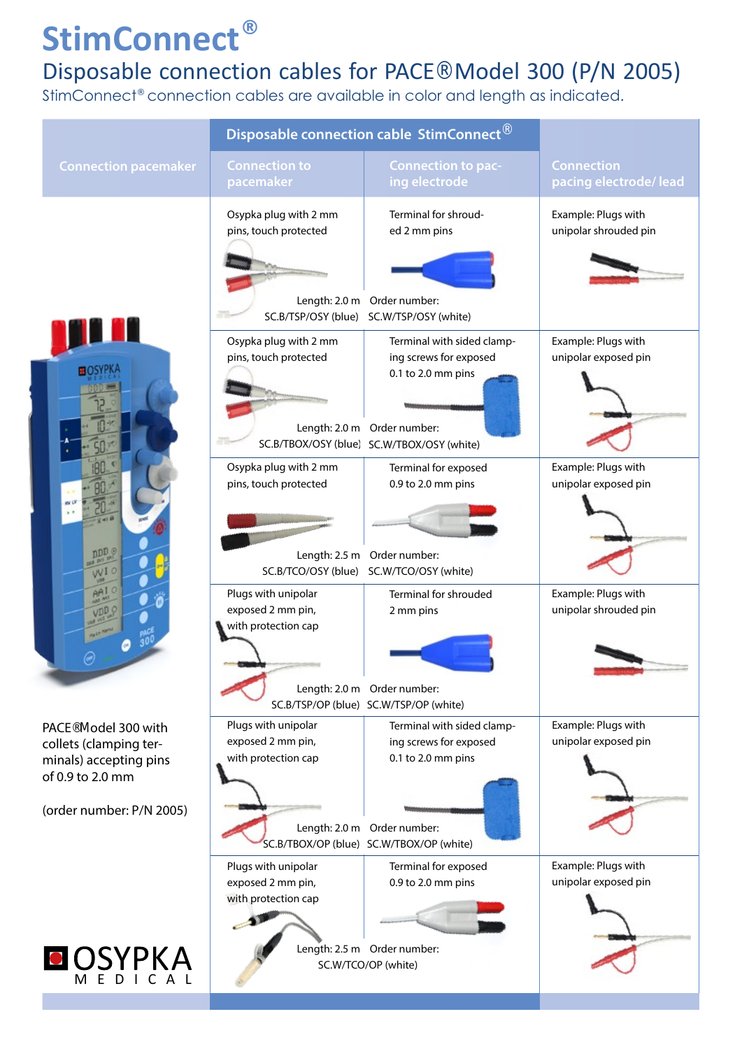## **StimConnect®**

## Disposable connection cables for PACE® Model 300 (P/N 2005)

StimConnect® connection cables are available in color and length as indicated.

|  |                                                                                                                                      | Disposable connection cable StimConnect®                              |                                                                                                                                                         |                                              |
|--|--------------------------------------------------------------------------------------------------------------------------------------|-----------------------------------------------------------------------|---------------------------------------------------------------------------------------------------------------------------------------------------------|----------------------------------------------|
|  | <b>Connection pacemaker</b>                                                                                                          | <b>Connection to</b><br>pacemaker                                     | <b>Connection to pac-</b><br>ing electrode                                                                                                              | <b>Connection</b><br>pacing electrode/ lead  |
|  | <b>HOSYPK</b><br>nDD G<br>W.                                                                                                         | Osypka plug with 2 mm<br>pins, touch protected<br>SC.B/TSP/OSY (blue) | Terminal for shroud-<br>ed 2 mm pins<br>Length: 2.0 m Order number:<br>SC.W/TSP/OSY (white)                                                             | Example: Plugs with<br>unipolar shrouded pin |
|  |                                                                                                                                      | Osypka plug with 2 mm<br>pins, touch protected                        | Terminal with sided clamp-<br>ing screws for exposed<br>0.1 to 2.0 mm pins<br>Length: 2.0 m Order number:<br>SC.B/TBOX/OSY (blue) SC.W/TBOX/OSY (white) | Example: Plugs with<br>unipolar exposed pin  |
|  |                                                                                                                                      | Osypka plug with 2 mm<br>pins, touch protected<br>SC.B/TCO/OSY (blue) | Terminal for exposed<br>0.9 to 2.0 mm pins<br>Length: 2.5 m Order number:<br>SC.W/TCO/OSY (white)                                                       | Example: Plugs with<br>unipolar exposed pin  |
|  |                                                                                                                                      | Plugs with unipolar<br>exposed 2 mm pin,<br>with protection cap       | Terminal for shrouded<br>2 mm pins<br>Length: 2.0 m Order number:<br>SC.B/TSP/OP (blue) SC.W/TSP/OP (white)                                             | Example: Plugs with<br>unipolar shrouded pin |
|  | PACE <sup>®</sup> Model 300 with<br>collets (clamping ter-<br>minals) accepting pins<br>of 0.9 to 2.0 mm<br>(order number: P/N 2005) | Plugs with unipolar<br>exposed 2 mm pin,<br>with protection cap       | Terminal with sided clamp-<br>ing screws for exposed<br>0.1 to 2.0 mm pins<br>Length: 2.0 m Order number:<br>SC.B/TBOX/OP (blue) SC.W/TBOX/OP (white)   | Example: Plugs with<br>unipolar exposed pin  |
|  | OSYPKA                                                                                                                               | Plugs with unipolar<br>exposed 2 mm pin,<br>with protection cap       | Terminal for exposed<br>0.9 to 2.0 mm pins<br>Length: 2.5 m Order number:<br>SC.W/TCO/OP (white)                                                        | Example: Plugs with<br>unipolar exposed pin  |